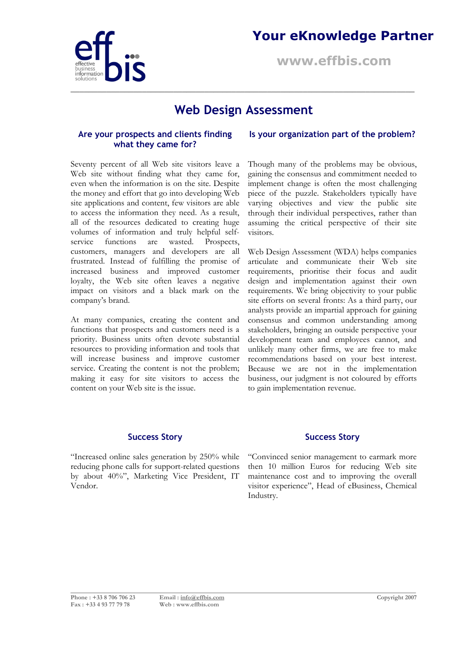

### **Your eKnowledge Partner**

**www.effbis.com**

### **Web Design Assessment**

**\_\_\_\_\_\_\_\_\_\_\_\_\_\_\_\_\_\_\_\_\_\_\_\_\_\_\_\_\_\_\_\_\_\_\_\_\_\_\_\_\_\_\_\_\_\_\_\_\_\_\_\_\_\_\_\_\_\_\_\_\_\_\_\_\_\_\_\_\_\_\_\_\_\_\_\_\_**

### **Are your prospects and clients finding what they came for?**

Seventy percent of all Web site visitors leave a Web site without finding what they came for, even when the information is on the site. Despite the money and effort that go into developing Web site applications and content, few visitors are able to access the information they need. As a result, all of the resources dedicated to creating huge volumes of information and truly helpful selfservice functions are wasted. Prospects, customers, managers and developers are all frustrated. Instead of fulfilling the promise of increased business and improved customer loyalty, the Web site often leaves a negative impact on visitors and a black mark on the company's brand.

At many companies, creating the content and functions that prospects and customers need is a priority. Business units often devote substantial resources to providing information and tools that will increase business and improve customer service. Creating the content is not the problem; making it easy for site visitors to access the content on your Web site is the issue.

#### **Is your organization part of the problem?**

Though many of the problems may be obvious, gaining the consensus and commitment needed to implement change is often the most challenging piece of the puzzle. Stakeholders typically have varying objectives and view the public site through their individual perspectives, rather than assuming the critical perspective of their site visitors.

Web Design Assessment (WDA) helps companies articulate and communicate their Web site requirements, prioritise their focus and audit design and implementation against their own requirements. We bring objectivity to your public site efforts on several fronts: As a third party, our analysts provide an impartial approach for gaining consensus and common understanding among stakeholders, bringing an outside perspective your development team and employees cannot, and unlikely many other firms, we are free to make recommendations based on your best interest. Because we are not in the implementation business, our judgment is not coloured by efforts to gain implementation revenue.

"Increased online sales generation by 250% while reducing phone calls for support-related questions by about 40%", Marketing Vice President, IT Vendor.

#### **Success Story Success Story**

"Convinced senior management to earmark more then 10 million Euros for reducing Web site maintenance cost and to improving the overall visitor experience", Head of eBusiness, Chemical Industry.

**\_\_\_\_\_\_\_\_\_\_\_\_\_\_\_\_\_\_\_\_\_\_\_\_\_\_\_\_\_\_\_\_\_\_\_\_\_\_\_\_\_\_\_\_\_\_\_\_\_\_\_\_\_\_\_\_\_\_\_\_\_\_\_\_\_\_\_\_\_\_\_\_\_\_\_\_\_\_\_\_\_\_\_\_\_\_\_\_\_\_\_\_\_\_\_\_\_\_\_\_\_\_\_\_\_\_\_\_\_\_**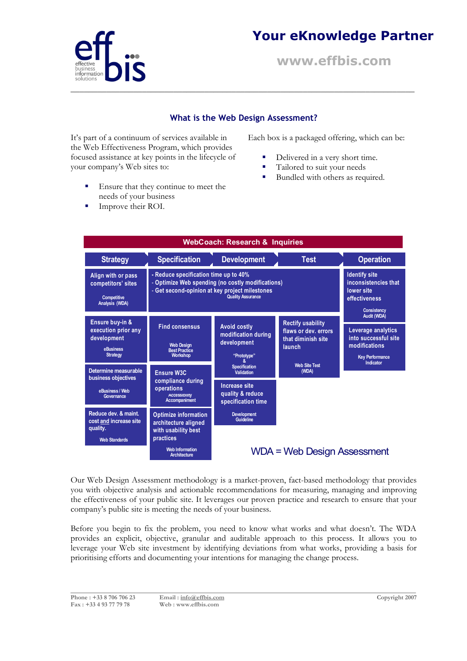

## **Your eKnowledge Partner**

**www.effbis.com**

### **What is the Web Design Assessment?**

**\_\_\_\_\_\_\_\_\_\_\_\_\_\_\_\_\_\_\_\_\_\_\_\_\_\_\_\_\_\_\_\_\_\_\_\_\_\_\_\_\_\_\_\_\_\_\_\_\_\_\_\_\_\_\_\_\_\_\_\_\_\_\_\_\_\_\_\_\_\_\_\_\_\_\_\_\_**

It's part of a continuum of services available in the Web Effectiveness Program, which provides focused assistance at key points in the lifecycle of your company's Web sites to:

Each box is a packaged offering, which can be:

- Delivered in a very short time.
- Tailored to suit your needs
- Bundled with others as required.
- Ensure that they continue to meet the needs of your business
- Improve their ROI.

| <b>WebCoach: Research &amp; Inquiries</b>                                             |                                                                                                                                                                          |                                                                                                             |                                                                                  |                                                                                                      |
|---------------------------------------------------------------------------------------|--------------------------------------------------------------------------------------------------------------------------------------------------------------------------|-------------------------------------------------------------------------------------------------------------|----------------------------------------------------------------------------------|------------------------------------------------------------------------------------------------------|
| <b>Strategy</b>                                                                       | <b>Specification</b>                                                                                                                                                     | <b>Development</b>                                                                                          | <b>Test</b>                                                                      | <b>Operation</b>                                                                                     |
| Align with or pass<br>competitors' sites<br><b>Competitive</b><br>Analysis (WDA)      | - Reduce specification time up to 40%<br>- Optimize Web spending (no costly modifications)<br>- Get second-opinion at key project milestones<br><b>Quality Assurance</b> |                                                                                                             |                                                                                  | <b>Identify site</b><br>inconsistencies that<br>lower site<br>effectiveness<br><b>Consistency</b>    |
| Ensure buy-in &<br>execution prior any<br>development<br>eBusiness<br><b>Strategy</b> | <b>Find consensus</b><br><b>Web Design</b><br><b>Best Practice</b><br><b>Workshop</b>                                                                                    | <b>Avoid costly</b><br>modification during<br>development<br>"Prototype"                                    | <b>Rectify usability</b><br>flaws or dev. errors<br>that diminish site<br>launch | Audit (WDA)<br>Leverage analytics<br>into successful site<br>modifications<br><b>Key Performance</b> |
| Determine measurable<br>business objectives<br>eBusiness / Web<br>Governance          | <b>Ensure W3C</b><br>compliance during<br>operations<br><b>Accessibility</b><br>Accompaniment                                                                            | <b>Specification</b><br><b>Validation</b><br><b>Increase site</b><br>quality & reduce<br>specification time | <b>Web Site Test</b><br>(WDA)                                                    | Indicator                                                                                            |
| Reduce dev. & maint.<br>cost and increase site<br>quality.<br><b>Web Standards</b>    | <b>Optimize information</b><br>architecture aligned<br>with usability best<br>practices<br><b>Web Information</b>                                                        | <b>Development</b><br>Guideline                                                                             |                                                                                  |                                                                                                      |
|                                                                                       | <b>Architecture</b>                                                                                                                                                      | WDA = Web Design Assessment                                                                                 |                                                                                  |                                                                                                      |

Our Web Design Assessment methodology is a market-proven, fact-based methodology that provides you with objective analysis and actionable recommendations for measuring, managing and improving the effectiveness of your public site. It leverages our proven practice and research to ensure that your company's public site is meeting the needs of your business.

Before you begin to fix the problem, you need to know what works and what doesn't. The WDA provides an explicit, objective, granular and auditable approach to this process. It allows you to leverage your Web site investment by identifying deviations from what works, providing a basis for prioritising efforts and documenting your intentions for managing the change process.